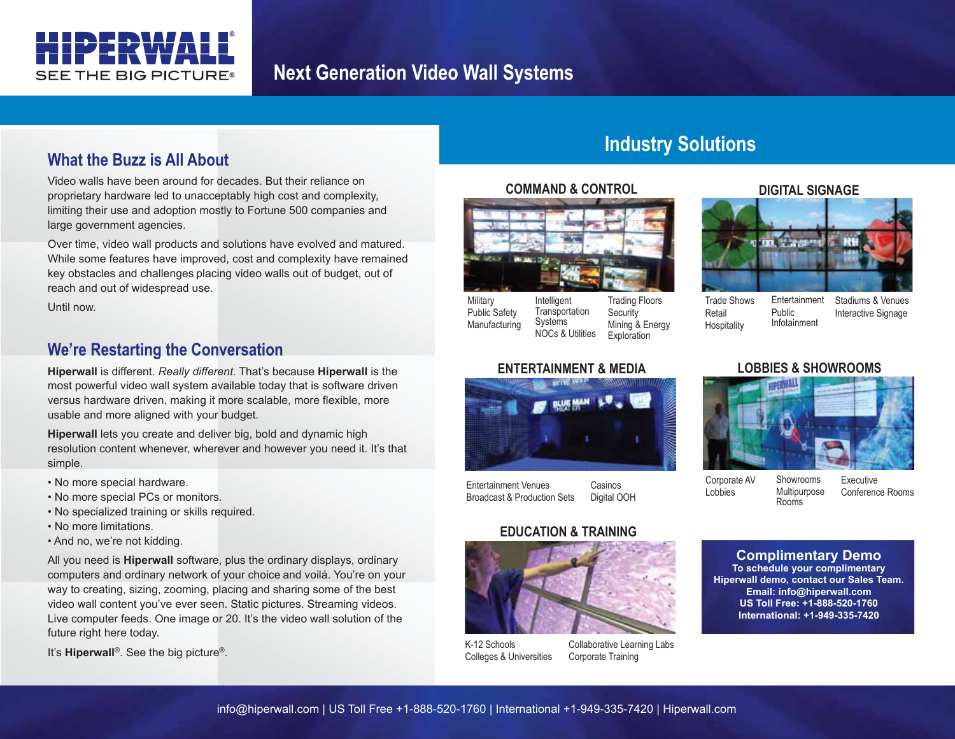

# **Next Generation Video Wall Systems**

## **What the Buzz is All About**

Video walls have been around for decades. But their reliance on proprietary hardware led to unacceptably high cost and complexity, limiting their use and adoption mostly to Fortune 500 companies and large government agencies.

Over time, video wall products and solutions have evolved and matured. While some features have improved, cost and complexity have remained key obstacles and challenges placing video walls out of budget, out of reach and out of widespread use.

Until now.

### **We're Restarting the Conversation**

**Hiperwall** is different. *Really different*. That's because **Hiperwall** is the most powerful video wall system available today that is software driven versus hardware driven, making it more scalable, more flexible, more usable and more aligned with your budget.

**Hiperwall** lets you create and deliver big, bold and dynamic high resolution content whenever, wherever and however you need it. It's that simple.

- No more special hardware.
- No more special PCs or monitors.
- No specialized training or skills required.
- No more limitations.
- And no, we're not kidding.

All you need is **Hiperwall** software, plus the ordinary displays, ordinary computers and ordinary network of your choice and voilá. You're on your way to creating, sizing, zooming, placing and sharing some of the best video wall content you've ever seen. Static pictures. Streaming videos. Live computer feeds. One image or 20. It's the video wall solution of the future right here today.

It's **Hiperwall**®. See the big picture®.

# **Industry Solutions**

#### **COMMAND & CONTROL**



**ENTERTAINMENT & MEDIA**

**Military** Public Safety Manufacturing Intelligent **Transportation** Systems NOCs & Utilities

Trading Floors **Security** Mining & Energy **Exploration** 

#### Trade Shows Retail **Hospitality** Entertainment Public Infotainment

Stadiums & Venues Interactive Signage



**DIGITAL SIGNAGE**

### **LOBBIES & SHOWROOMS**



Entertainment Venues Broadcast & Production Sets Casinos Digital OOH

#### **EDUCATION & TRAINING**



K-12 Schools Colleges & Universities Collaborative Learning Labs Corporate Training

Corporate AV Lobbies Showrooms **Multipurpose** Rooms

Executive Conference Rooms

#### **Complimentary Demo**

**To schedule your complimentary Hiperwall demo, contact our Sales Team. Email: info@hiperwall.com US Toll Free: +1-888-520-1760 International: +1-949-335-7420**